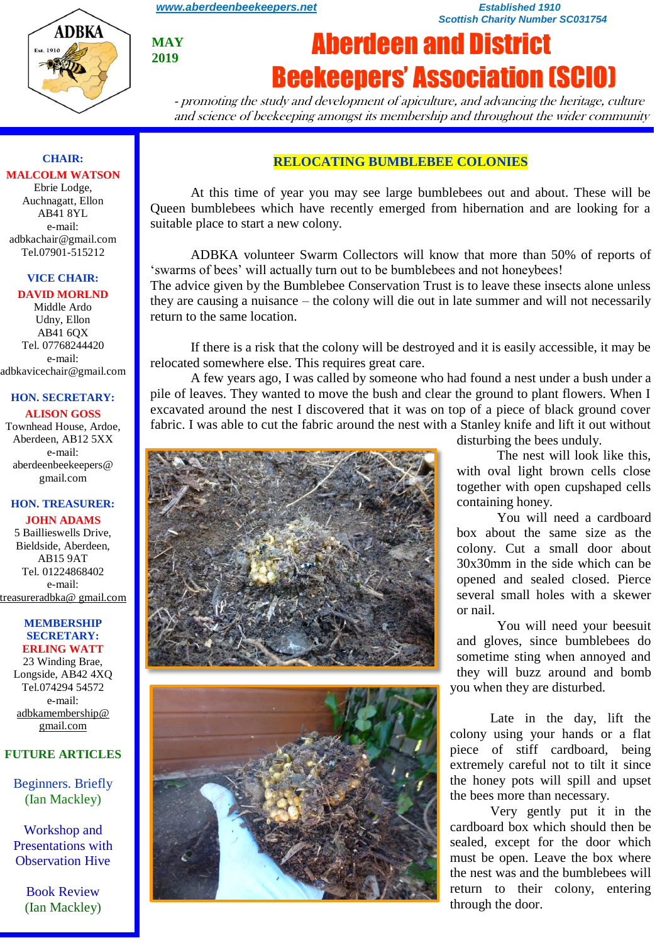

**CHAIR: MALCOLM WATSON** Ebrie Lodge, Auchnagatt, Ellon AB41 8YL e-mail: adbkachair@gmail.com Tel.07901-515212

**MAY** 

**2019**

# Aberdeen and District Beekeepers' Association (SCIO)

*Scottish Charity Number SC031754*

- promoting the study and development of apiculture, and advancing the heritage, culture and science of beekeeping amongst its membership and throughout the wider community

#### **RELOCATING BUMBLEBEE COLONIES**

*[www.aberdeenbeekeepers.net](http://www.aberdeenbeekeepers.net/) Established 1910* 

At this time of year you may see large bumblebees out and about. These will be Queen bumblebees which have recently emerged from hibernation and are looking for a suitable place to start a new colony.

ADBKA volunteer Swarm Collectors will know that more than 50% of reports of 'swarms of bees' will actually turn out to be bumblebees and not honeybees!

The advice given by the Bumblebee Conservation Trust is to leave these insects alone unless they are causing a nuisance – the colony will die out in late summer and will not necessarily return to the same location.

If there is a risk that the colony will be destroyed and it is easily accessible, it may be relocated somewhere else. This requires great care.

A few years ago, I was called by someone who had found a nest under a bush under a pile of leaves. They wanted to move the bush and clear the ground to plant flowers. When I excavated around the nest I discovered that it was on top of a piece of black ground cover fabric. I was able to cut the fabric around the nest with a Stanley knife and lift it out without





disturbing the bees unduly.

The nest will look like this, with oval light brown cells close together with open cupshaped cells containing honey.

You will need a cardboard box about the same size as the colony. Cut a small door about 30x30mm in the side which can be opened and sealed closed. Pierce several small holes with a skewer or nail.

You will need your beesuit and gloves, since bumblebees do sometime sting when annoyed and they will buzz around and bomb you when they are disturbed.

Late in the day, lift the colony using your hands or a flat piece of stiff cardboard, being extremely careful not to tilt it since the honey pots will spill and upset the bees more than necessary.

Very gently put it in the cardboard box which should then be sealed, except for the door which must be open. Leave the box where the nest was and the bumblebees will return to their colony, entering through the door.

#### AB41 6QX Tel. 07768244420 e-mail:

**VICE CHAIR: DAVID MORLND** Middle Ardo Udny, Ellon

adbkavicechair@gmail.com

#### **HON. SECRETARY: ALISON GOSS**

Townhead House, Ardoe, Aberdeen, AB12 5XX e-mail: aberdeenbeekeepers@ gmail.com

#### **HON. TREASURER:**

**JOHN ADAMS** 5 Baillieswells Drive, Bieldside, Aberdeen, AB15 9AT Tel. 01224868402 e-mail: [treasureradbka@ gmail.com](https://e.mail.ru/compose/?mailto=mailto%3atreasureradbka@gmail.com)

#### **MEMBERSHIP SECRETARY: ERLING WATT**

23 Winding Brae, Longside, AB42 4XQ Tel.074294 54572 e-mail: [adbkamembership@](mailto:watterlingg@aol.com) [gmail.com](mailto:watterlingg@aol.com)

#### **FUTURE ARTICLES**

Beginners. Briefly (Ian Mackley)

Workshop and Presentations with Observation Hive

> Book Review (Ian Mackley)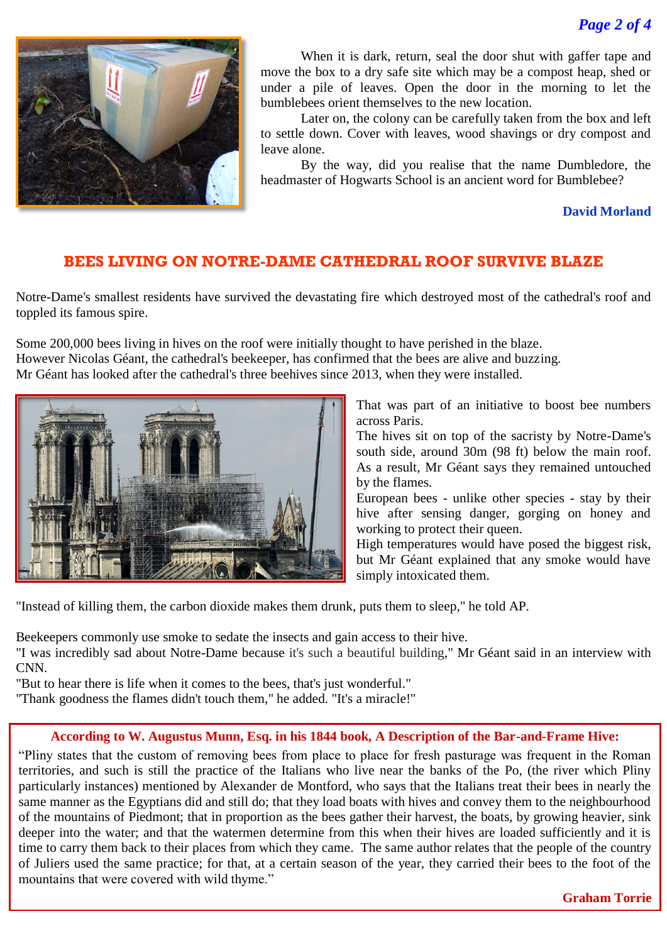

When it is dark, return, seal the door shut with gaffer tape and move the box to a dry safe site which may be a compost heap, shed or under a pile of leaves. Open the door in the morning to let the bumblebees orient themselves to the new location.

Later on, the colony can be carefully taken from the box and left to settle down. Cover with leaves, wood shavings or dry compost and leave alone.

By the way, did you realise that the name Dumbledore, the headmaster of Hogwarts School is an ancient word for Bumblebee?

**David Morland**

# **BEES LIVING ON NOTRE-DAME CATHEDRAL ROOF SURVIVE BLAZE**

Notre-Dame's smallest residents have survived the devastating fire which destroyed most of the cathedral's roof and toppled its famous spire.

Some 200,000 bees living in hives on the roof were initially thought to have perished in the blaze. However Nicolas Géant, the cathedral's beekeeper, has confirmed that the bees are alive and buzzing. Mr Géant has looked after the cathedral's three beehives since 2013, when they were installed.



That was part of an initiative to boost bee numbers across Paris.

The hives sit on top of the sacristy by Notre-Dame's south side, around 30m (98 ft) below the main roof. As a result, Mr Géant says they remained untouched by the flames.

European bees - unlike other species - stay by their hive after sensing danger, gorging on honey and working to protect their queen.

High temperatures would have posed the biggest risk, but Mr Géant explained that any smoke would have simply intoxicated them.

"Instead of killing them, the carbon dioxide makes them drunk, puts them to sleep," he told AP.

Beekeepers commonly use smoke to sedate the insects and gain access to their hive.

"I was incredibly sad about Notre-Dame because [it's such a beautiful building,](https://edition.cnn.com/2019/04/19/europe/notre-dame-bees-fire-intl-scli/index.html)" Mr Géant said in an interview with CNN.

"But to hear there is life when it comes to the bees, that's just wonderful."

"Thank goodness the flames didn't touch them," he added. "It's a miracle!"

#### **According to W. Augustus Munn, Esq. in his 1844 book, A Description of the Bar-and-Frame Hive:**

"Pliny states that the custom of removing bees from place to place for fresh pasturage was frequent in the Roman territories, and such is still the practice of the Italians who live near the banks of the Po, (the river which Pliny particularly instances) mentioned by Alexander de Montford, who says that the Italians treat their bees in nearly the same manner as the Egyptians did and still do; that they load boats with hives and convey them to the neighbourhood of the mountains of Piedmont; that in proportion as the bees gather their harvest, the boats, by growing heavier, sink deeper into the water; and that the watermen determine from this when their hives are loaded sufficiently and it is time to carry them back to their places from which they came. The same author relates that the people of the country of Juliers used the same practice; for that, at a certain season of the year, they carried their bees to the foot of the mountains that were covered with wild thyme."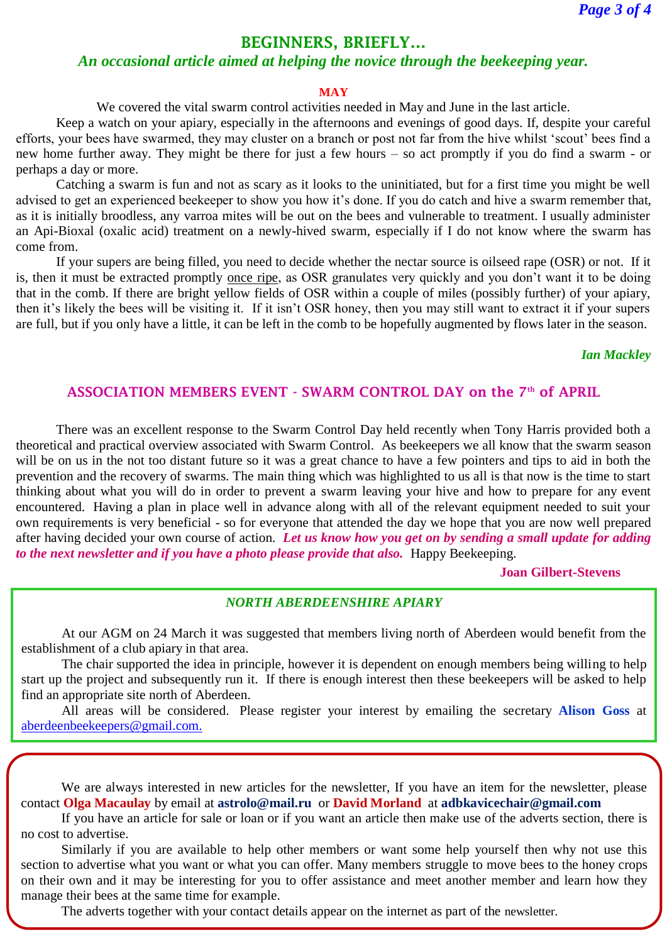# **BEGINNERS, BRIEFLY…**

#### *An occasional article aimed at helping the novice through the beekeeping year.*

#### **MAY**

We covered the vital swarm control activities needed in May and June in the last article.

Keep a watch on your apiary, especially in the afternoons and evenings of good days. If, despite your careful efforts, your bees have swarmed, they may cluster on a branch or post not far from the hive whilst 'scout' bees find a new home further away. They might be there for just a few hours – so act promptly if you do find a swarm - or perhaps a day or more.

Catching a swarm is fun and not as scary as it looks to the uninitiated, but for a first time you might be well advised to get an experienced beekeeper to show you how it's done. If you do catch and hive a swarm remember that, as it is initially broodless, any varroa mites will be out on the bees and vulnerable to treatment. I usually administer an Api-Bioxal (oxalic acid) treatment on a newly-hived swarm, especially if I do not know where the swarm has come from.

If your supers are being filled, you need to decide whether the nectar source is oilseed rape (OSR) or not. If it is, then it must be extracted promptly once ripe, as OSR granulates very quickly and you don't want it to be doing that in the comb. If there are bright yellow fields of OSR within a couple of miles (possibly further) of your apiary, then it's likely the bees will be visiting it. If it isn't OSR honey, then you may still want to extract it if your supers are full, but if you only have a little, it can be left in the comb to be hopefully augmented by flows later in the season.

#### *Ian Mackley*

#### **ASSOCIATION MEMBERS EVENT - SWARM CONTROL DAY on the 7th of APRIL**

There was an excellent response to the Swarm Control Day held recently when Tony Harris provided both a theoretical and practical overview associated with Swarm Control. As beekeepers we all know that the swarm season will be on us in the not too distant future so it was a great chance to have a few pointers and tips to aid in both the prevention and the recovery of swarms. The main thing which was highlighted to us all is that now is the time to start thinking about what you will do in order to prevent a swarm leaving your hive and how to prepare for any event encountered. Having a plan in place well in advance along with all of the relevant equipment needed to suit your own requirements is very beneficial - so for everyone that attended the day we hope that you are now well prepared after having decided your own course of action. *Let us know how you get on by sending a small update for adding to the next newsletter and if you have a photo please provide that also.* Happy Beekeeping.

#### **Joan Gilbert-Stevens**

#### *NORTH ABERDEENSHIRE APIARY*

At our AGM on 24 March it was suggested that members living north of Aberdeen would benefit from the establishment of a club apiary in that area.

The chair supported the idea in principle, however it is dependent on enough members being willing to help start up the project and subsequently run it. If there is enough interest then these beekeepers will be asked to help find an appropriate site north of Aberdeen.

All areas will be considered. Please register your interest by emailing the secretary **Alison Goss** at [aberdeenbeekeepers@gmail.com.](https://e.mail.ru/compose/?mailto=mailto%3aaberdeenbeekeepers@gmail.com)

We are always interested in new articles for the newsletter, If you have an item for the newsletter, please contact **Olga Macaulay** by email at **astrolo@mail.ru** or **David Morland** at **adbkavicechair@gmail.com**

If you have an article for sale or loan or if you want an article then make use of the adverts section, there is no cost to advertise.

Similarly if you are available to help other members or want some help yourself then why not use this section to advertise what you want or what you can offer. Many members struggle to move bees to the honey crops on their own and it may be interesting for you to offer assistance and meet another member and learn how they manage their bees at the same time for example.

The adverts together with your contact details appear on the internet as part of the newsletter.